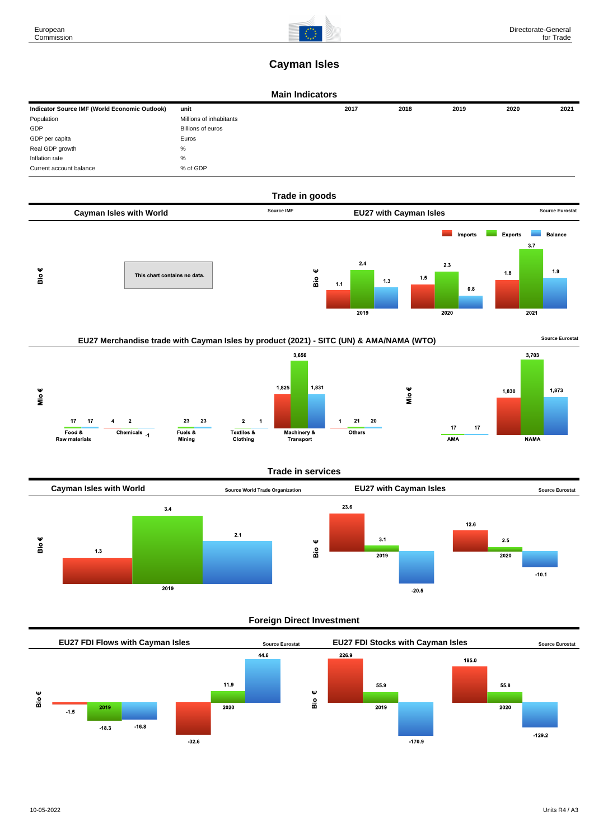

# **Cayman Isles**

### **Main Indicators**

| Indicator Source IMF (World Economic Outlook) | unit                    | 2017 | 2018 | 2019 | 2020 | 2021 |
|-----------------------------------------------|-------------------------|------|------|------|------|------|
| Population                                    | Millions of inhabitants |      |      |      |      |      |
| GDP                                           | Billions of euros       |      |      |      |      |      |
| GDP per capita                                | Euros                   |      |      |      |      |      |
| Real GDP growth                               | %                       |      |      |      |      |      |
| Inflation rate                                | %                       |      |      |      |      |      |
| Current account balance                       | % of GDP                |      |      |      |      |      |







### **Trade in services**



### **Foreign Direct Investment**